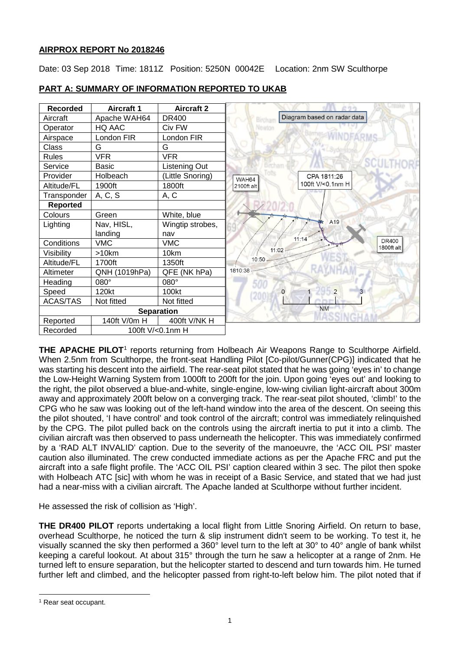# **AIRPROX REPORT No 2018246**

Date: 03 Sep 2018 Time: 1811Z Position: 5250N 00042E Location: 2nm SW Sculthorpe



# **PART A: SUMMARY OF INFORMATION REPORTED TO UKAB**

**THE APACHE PILOT**<sup>[1](#page-0-0)</sup> reports returning from Holbeach Air Weapons Range to Sculthorpe Airfield. When 2.5nm from Sculthorpe, the front-seat Handling Pilot [Co-pilot/Gunner(CPG)] indicated that he was starting his descent into the airfield. The rear-seat pilot stated that he was going 'eyes in' to change the Low-Height Warning System from 1000ft to 200ft for the join. Upon going 'eyes out' and looking to the right, the pilot observed a blue-and-white, single-engine, low-wing civilian light-aircraft about 300m away and approximately 200ft below on a converging track. The rear-seat pilot shouted, 'climb!' to the CPG who he saw was looking out of the left-hand window into the area of the descent. On seeing this the pilot shouted, 'I have control' and took control of the aircraft; control was immediately relinquished by the CPG. The pilot pulled back on the controls using the aircraft inertia to put it into a climb. The civilian aircraft was then observed to pass underneath the helicopter. This was immediately confirmed by a 'RAD ALT INVALID' caption. Due to the severity of the manoeuvre, the 'ACC OIL PSI' master caution also illuminated. The crew conducted immediate actions as per the Apache FRC and put the aircraft into a safe flight profile. The 'ACC OIL PSI' caption cleared within 3 sec. The pilot then spoke with Holbeach ATC [sic] with whom he was in receipt of a Basic Service, and stated that we had just had a near-miss with a civilian aircraft. The Apache landed at Sculthorpe without further incident.

He assessed the risk of collision as 'High'.

**THE DR400 PILOT** reports undertaking a local flight from Little Snoring Airfield. On return to base, overhead Sculthorpe, he noticed the turn & slip instrument didn't seem to be working. To test it, he visually scanned the sky then performed a 360° level turn to the left at 30° to 40° angle of bank whilst keeping a careful lookout. At about 315° through the turn he saw a helicopter at a range of 2nm. He turned left to ensure separation, but the helicopter started to descend and turn towards him. He turned further left and climbed, and the helicopter passed from right-to-left below him. The pilot noted that if

 $\overline{\phantom{a}}$ 

<span id="page-0-0"></span><sup>1</sup> Rear seat occupant.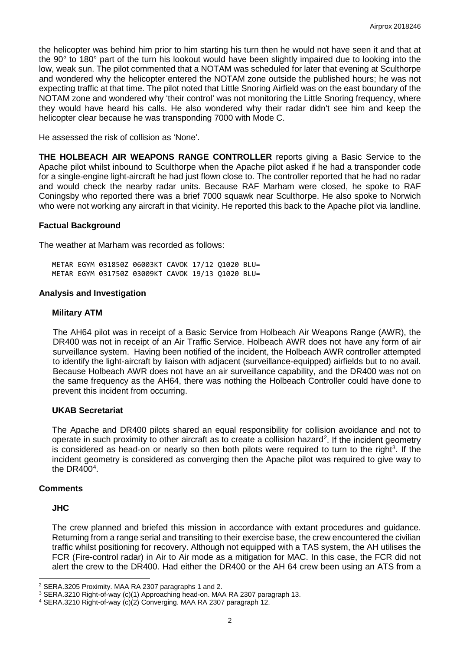the helicopter was behind him prior to him starting his turn then he would not have seen it and that at the 90° to 180° part of the turn his lookout would have been slightly impaired due to looking into the low, weak sun. The pilot commented that a NOTAM was scheduled for later that evening at Sculthorpe and wondered why the helicopter entered the NOTAM zone outside the published hours; he was not expecting traffic at that time. The pilot noted that Little Snoring Airfield was on the east boundary of the NOTAM zone and wondered why 'their control' was not monitoring the Little Snoring frequency, where they would have heard his calls. He also wondered why their radar didn't see him and keep the helicopter clear because he was transponding 7000 with Mode C.

He assessed the risk of collision as 'None'.

**THE HOLBEACH AIR WEAPONS RANGE CONTROLLER** reports giving a Basic Service to the Apache pilot whilst inbound to Sculthorpe when the Apache pilot asked if he had a transponder code for a single-engine light-aircraft he had just flown close to. The controller reported that he had no radar and would check the nearby radar units. Because RAF Marham were closed, he spoke to RAF Coningsby who reported there was a brief 7000 squawk near Sculthorpe. He also spoke to Norwich who were not working any aircraft in that vicinity. He reported this back to the Apache pilot via landline.

#### **Factual Background**

The weather at Marham was recorded as follows:

METAR EGYM 031850Z 06003KT CAVOK 17/12 Q1020 BLU= METAR EGYM 031750Z 03009KT CAVOK 19/13 Q1020 BLU=

#### **Analysis and Investigation**

#### **Military ATM**

The AH64 pilot was in receipt of a Basic Service from Holbeach Air Weapons Range (AWR), the DR400 was not in receipt of an Air Traffic Service. Holbeach AWR does not have any form of air surveillance system. Having been notified of the incident, the Holbeach AWR controller attempted to identify the light-aircraft by liaison with adjacent (surveillance-equipped) airfields but to no avail. Because Holbeach AWR does not have an air surveillance capability, and the DR400 was not on the same frequency as the AH64, there was nothing the Holbeach Controller could have done to prevent this incident from occurring.

#### **UKAB Secretariat**

The Apache and DR400 pilots shared an equal responsibility for collision avoidance and not to operate in such proximity to other aircraft as to create a collision hazard<sup>[2](#page-1-0)</sup>. If the incident geometry is considered as head-on or nearly so then both pilots were required to turn to the right<sup>[3](#page-1-1)</sup>. If the incident geometry is considered as converging then the Apache pilot was required to give way to the DR[4](#page-1-2)00 $4$ .

#### **Comments**

#### **JHC**

 $\overline{\phantom{a}}$ 

The crew planned and briefed this mission in accordance with extant procedures and guidance. Returning from a range serial and transiting to their exercise base, the crew encountered the civilian traffic whilst positioning for recovery. Although not equipped with a TAS system, the AH utilises the FCR (Fire-control radar) in Air to Air mode as a mitigation for MAC. In this case, the FCR did not alert the crew to the DR400. Had either the DR400 or the AH 64 crew been using an ATS from a

<span id="page-1-0"></span><sup>2</sup> SERA.3205 Proximity. MAA RA 2307 paragraphs 1 and 2.

<span id="page-1-1"></span><sup>3</sup> SERA.3210 Right-of-way (c)(1) Approaching head-on. MAA RA 2307 paragraph 13.

<span id="page-1-2"></span><sup>4</sup> SERA.3210 Right-of-way (c)(2) Converging. MAA RA 2307 paragraph 12.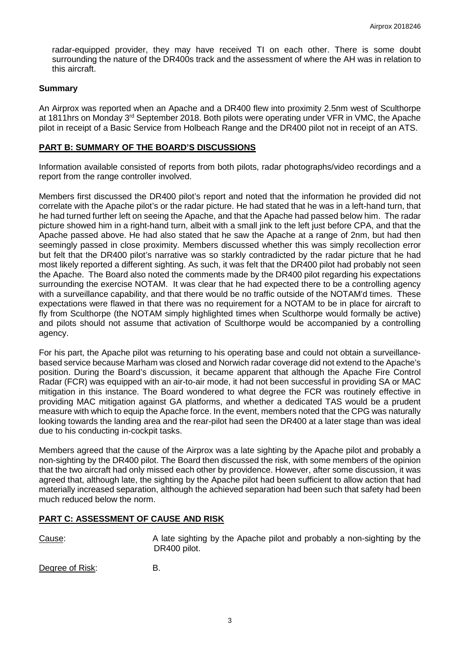radar-equipped provider, they may have received TI on each other. There is some doubt surrounding the nature of the DR400s track and the assessment of where the AH was in relation to this aircraft.

## **Summary**

An Airprox was reported when an Apache and a DR400 flew into proximity 2.5nm west of Sculthorpe at 1811hrs on Monday  $3<sup>rd</sup>$  September 2018. Both pilots were operating under VFR in VMC, the Apache pilot in receipt of a Basic Service from Holbeach Range and the DR400 pilot not in receipt of an ATS.

## **PART B: SUMMARY OF THE BOARD'S DISCUSSIONS**

Information available consisted of reports from both pilots, radar photographs/video recordings and a report from the range controller involved.

Members first discussed the DR400 pilot's report and noted that the information he provided did not correlate with the Apache pilot's or the radar picture. He had stated that he was in a left-hand turn, that he had turned further left on seeing the Apache, and that the Apache had passed below him. The radar picture showed him in a right-hand turn, albeit with a small jink to the left just before CPA, and that the Apache passed above. He had also stated that he saw the Apache at a range of 2nm, but had then seemingly passed in close proximity. Members discussed whether this was simply recollection error but felt that the DR400 pilot's narrative was so starkly contradicted by the radar picture that he had most likely reported a different sighting. As such, it was felt that the DR400 pilot had probably not seen the Apache. The Board also noted the comments made by the DR400 pilot regarding his expectations surrounding the exercise NOTAM. It was clear that he had expected there to be a controlling agency with a surveillance capability, and that there would be no traffic outside of the NOTAM'd times. These expectations were flawed in that there was no requirement for a NOTAM to be in place for aircraft to fly from Sculthorpe (the NOTAM simply highlighted times when Sculthorpe would formally be active) and pilots should not assume that activation of Sculthorpe would be accompanied by a controlling agency.

For his part, the Apache pilot was returning to his operating base and could not obtain a surveillancebased service because Marham was closed and Norwich radar coverage did not extend to the Apache's position. During the Board's discussion, it became apparent that although the Apache Fire Control Radar (FCR) was equipped with an air-to-air mode, it had not been successful in providing SA or MAC mitigation in this instance. The Board wondered to what degree the FCR was routinely effective in providing MAC mitigation against GA platforms, and whether a dedicated TAS would be a prudent measure with which to equip the Apache force. In the event, members noted that the CPG was naturally looking towards the landing area and the rear-pilot had seen the DR400 at a later stage than was ideal due to his conducting in-cockpit tasks.

Members agreed that the cause of the Airprox was a late sighting by the Apache pilot and probably a non-sighting by the DR400 pilot. The Board then discussed the risk, with some members of the opinion that the two aircraft had only missed each other by providence. However, after some discussion, it was agreed that, although late, the sighting by the Apache pilot had been sufficient to allow action that had materially increased separation, although the achieved separation had been such that safety had been much reduced below the norm.

## **PART C: ASSESSMENT OF CAUSE AND RISK**

Cause: A late sighting by the Apache pilot and probably a non-sighting by the DR400 pilot.

Degree of Risk: B.